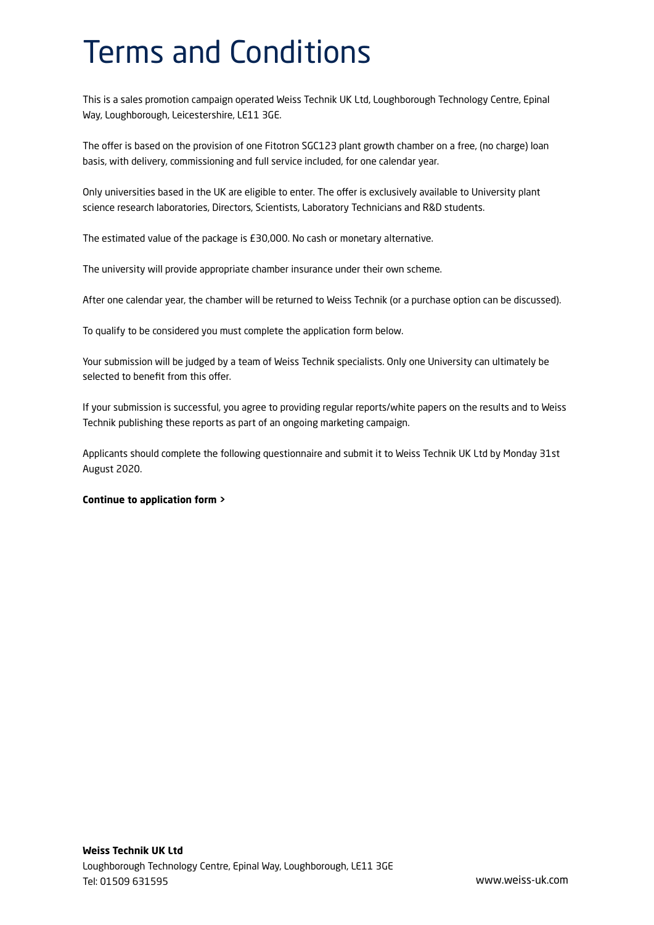## Terms and Conditions

This is a sales promotion campaign operated Weiss Technik UK Ltd, Loughborough Technology Centre, Epinal Way, Loughborough, Leicestershire, LE11 3GE.

The offer is based on the provision of one Fitotron SGC123 plant growth chamber on a free, (no charge) loan basis, with delivery, commissioning and full service included, for one calendar year.

Only universities based in the UK are eligible to enter. The offer is exclusively available to University plant science research laboratories, Directors, Scientists, Laboratory Technicians and R&D students.

The estimated value of the package is £30,000. No cash or monetary alternative.

The university will provide appropriate chamber insurance under their own scheme.

After one calendar year, the chamber will be returned to Weiss Technik (or a purchase option can be discussed).

To qualify to be considered you must complete the application form below.

Your submission will be judged by a team of Weiss Technik specialists. Only one University can ultimately be selected to benefit from this offer.

If your submission is successful, you agree to providing regular reports/white papers on the results and to Weiss Technik publishing these reports as part of an ongoing marketing campaign.

Applicants should complete the following questionnaire and submit it to Weiss Technik UK Ltd by Monday 31st August 2020.

### **Continue to application form >**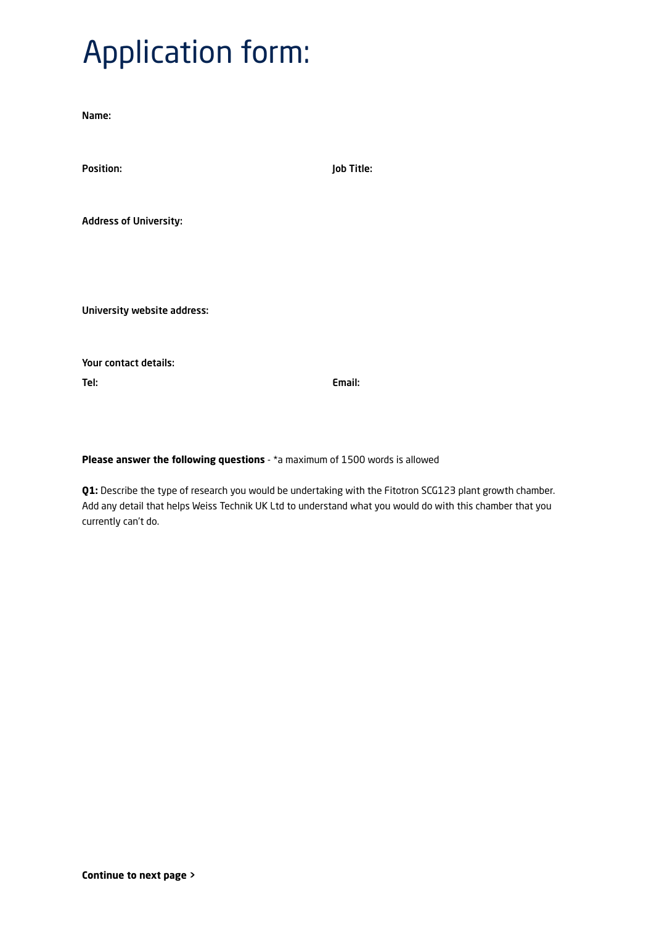# Application form:

Name:

| <b>Position:</b>              | Job Title: |
|-------------------------------|------------|
|                               |            |
| <b>Address of University:</b> |            |
|                               |            |
|                               |            |
| University website address:   |            |

Your contact details: Tel: Email:

**Please answer the following questions** - \*a maximum of 1500 words is allowed

**Q1:** Describe the type of research you would be undertaking with the Fitotron SCG123 plant growth chamber. Add any detail that helps Weiss Technik UK Ltd to understand what you would do with this chamber that you currently can't do.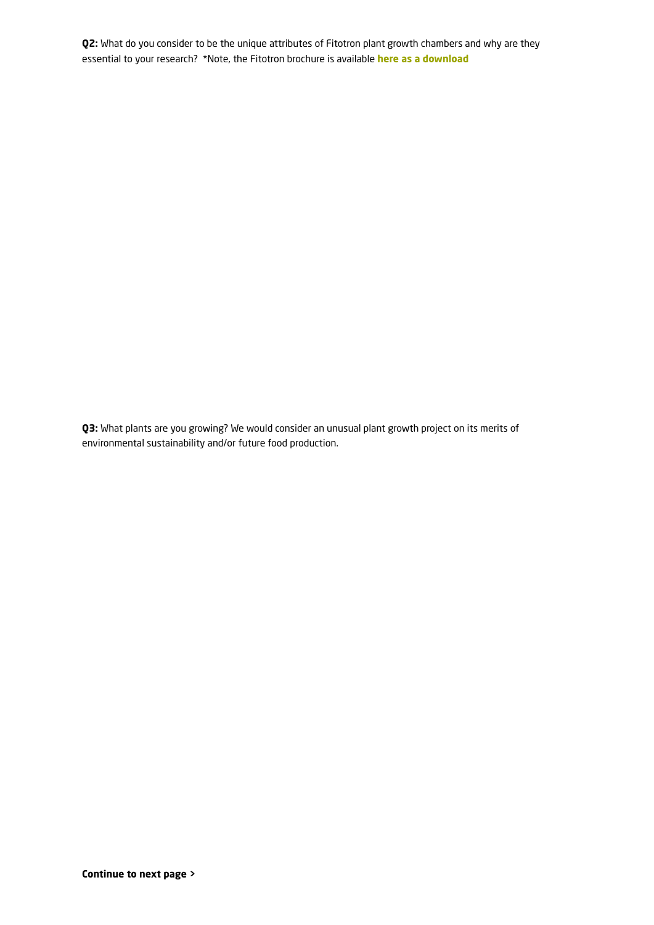**Q2:** What do you consider to be the unique attributes of Fitotron plant growth chambers and why are they essential to your research? \*Note, the Fitotron brochure is available **[here as a download](https://www.weiss-technik.com/fileadmin/Redakteur/Mediathek/Broschueren/WeissTechnik/Umweltsimulation/Fitotron-SGC-Plant-Growth-Chamber-EN.pdf)**

**Q3:** What plants are you growing? We would consider an unusual plant growth project on its merits of environmental sustainability and/or future food production.